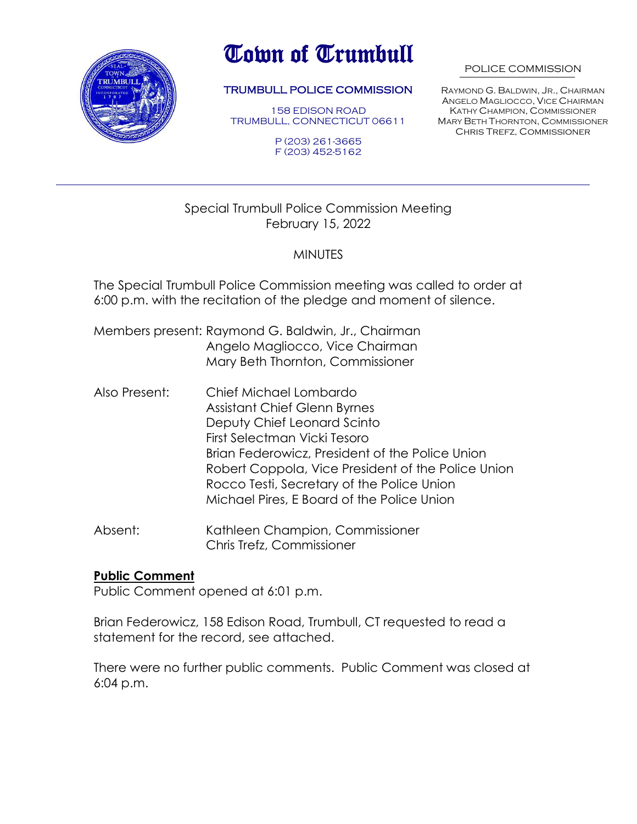

# Town of Trumbull

#### TRUMBULL POLICE COMMISSION

158 EDISON ROAD TRUMBULL, CONNECTICUT 06611

> P (203) 261-3665 F (203) 452-5162

#### POLICE COMMISSION

RAYMOND G. BALDWIN, JR., CHAIRMAN ANGELO MAGLIOCCO, VICE CHAIRMAN KATHY CHAMPION, COMMISSIONER MARY BETH THORNTON, COMMISSIONER Chris Trefz, Commissioner

## Special Trumbull Police Commission Meeting February 15, 2022

## **MINUTES**

The Special Trumbull Police Commission meeting was called to order at 6:00 p.m. with the recitation of the pledge and moment of silence.

- Members present: Raymond G. Baldwin, Jr., Chairman Angelo Magliocco, Vice Chairman Mary Beth Thornton, Commissioner
- Also Present: Chief Michael Lombardo Assistant Chief Glenn Byrnes Deputy Chief Leonard Scinto First Selectman Vicki Tesoro Brian Federowicz, President of the Police Union Robert Coppola, Vice President of the Police Union Rocco Testi, Secretary of the Police Union Michael Pires, E Board of the Police Union
- Absent: Kathleen Champion, Commissioner Chris Trefz, Commissioner

#### **Public Comment**

Public Comment opened at 6:01 p.m.

Brian Federowicz, 158 Edison Road, Trumbull, CT requested to read a statement for the record, see attached.

There were no further public comments. Public Comment was closed at 6:04 p.m.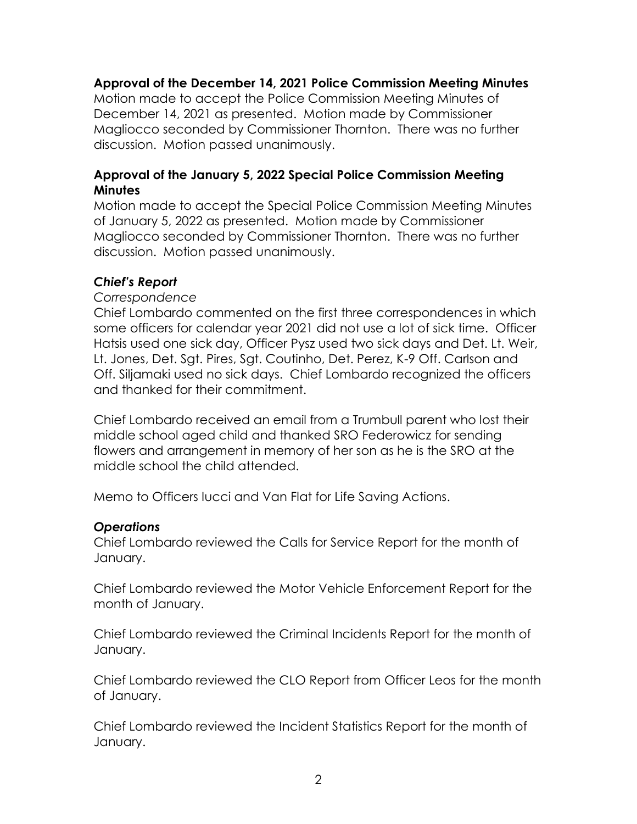## **Approval of the December 14, 2021 Police Commission Meeting Minutes**

Motion made to accept the Police Commission Meeting Minutes of December 14, 2021 as presented. Motion made by Commissioner Magliocco seconded by Commissioner Thornton. There was no further discussion. Motion passed unanimously.

## **Approval of the January 5, 2022 Special Police Commission Meeting Minutes**

Motion made to accept the Special Police Commission Meeting Minutes of January 5, 2022 as presented. Motion made by Commissioner Magliocco seconded by Commissioner Thornton. There was no further discussion. Motion passed unanimously.

## *Chief's Report*

### *Correspondence*

Chief Lombardo commented on the first three correspondences in which some officers for calendar year 2021 did not use a lot of sick time. Officer Hatsis used one sick day, Officer Pysz used two sick days and Det. Lt. Weir, Lt. Jones, Det. Sgt. Pires, Sgt. Coutinho, Det. Perez, K-9 Off. Carlson and Off. Siljamaki used no sick days. Chief Lombardo recognized the officers and thanked for their commitment.

Chief Lombardo received an email from a Trumbull parent who lost their middle school aged child and thanked SRO Federowicz for sending flowers and arrangement in memory of her son as he is the SRO at the middle school the child attended.

Memo to Officers Iucci and Van Flat for Life Saving Actions.

#### *Operations*

Chief Lombardo reviewed the Calls for Service Report for the month of January.

Chief Lombardo reviewed the Motor Vehicle Enforcement Report for the month of January.

Chief Lombardo reviewed the Criminal Incidents Report for the month of January.

Chief Lombardo reviewed the CLO Report from Officer Leos for the month of January.

Chief Lombardo reviewed the Incident Statistics Report for the month of January.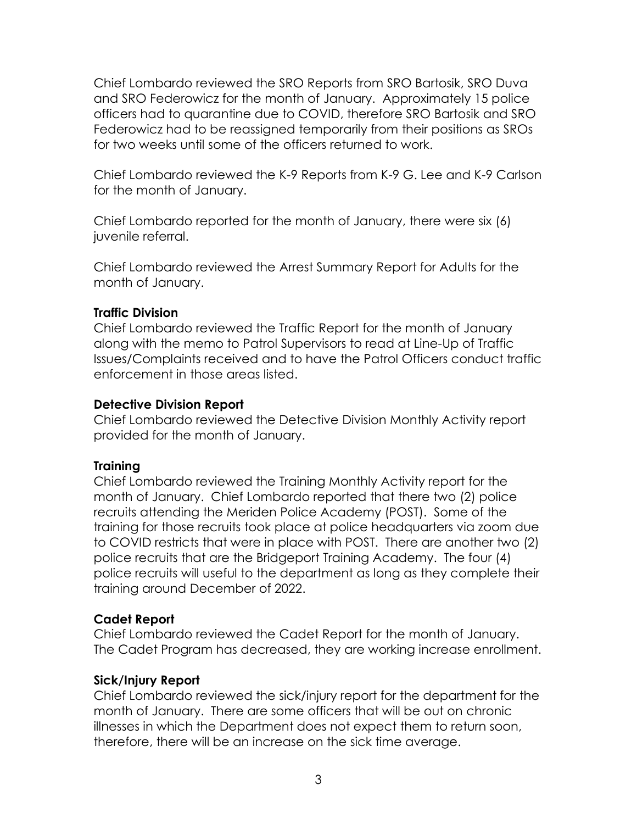Chief Lombardo reviewed the SRO Reports from SRO Bartosik, SRO Duva and SRO Federowicz for the month of January. Approximately 15 police officers had to quarantine due to COVID, therefore SRO Bartosik and SRO Federowicz had to be reassigned temporarily from their positions as SROs for two weeks until some of the officers returned to work.

Chief Lombardo reviewed the K-9 Reports from K-9 G. Lee and K-9 Carlson for the month of January.

Chief Lombardo reported for the month of January, there were six (6) juvenile referral.

Chief Lombardo reviewed the Arrest Summary Report for Adults for the month of January.

## **Traffic Division**

Chief Lombardo reviewed the Traffic Report for the month of January along with the memo to Patrol Supervisors to read at Line-Up of Traffic Issues/Complaints received and to have the Patrol Officers conduct traffic enforcement in those areas listed.

## **Detective Division Report**

Chief Lombardo reviewed the Detective Division Monthly Activity report provided for the month of January.

## **Training**

Chief Lombardo reviewed the Training Monthly Activity report for the month of January. Chief Lombardo reported that there two (2) police recruits attending the Meriden Police Academy (POST). Some of the training for those recruits took place at police headquarters via zoom due to COVID restricts that were in place with POST. There are another two (2) police recruits that are the Bridgeport Training Academy. The four (4) police recruits will useful to the department as long as they complete their training around December of 2022.

## **Cadet Report**

Chief Lombardo reviewed the Cadet Report for the month of January. The Cadet Program has decreased, they are working increase enrollment.

## **Sick/Injury Report**

Chief Lombardo reviewed the sick/injury report for the department for the month of January. There are some officers that will be out on chronic illnesses in which the Department does not expect them to return soon, therefore, there will be an increase on the sick time average.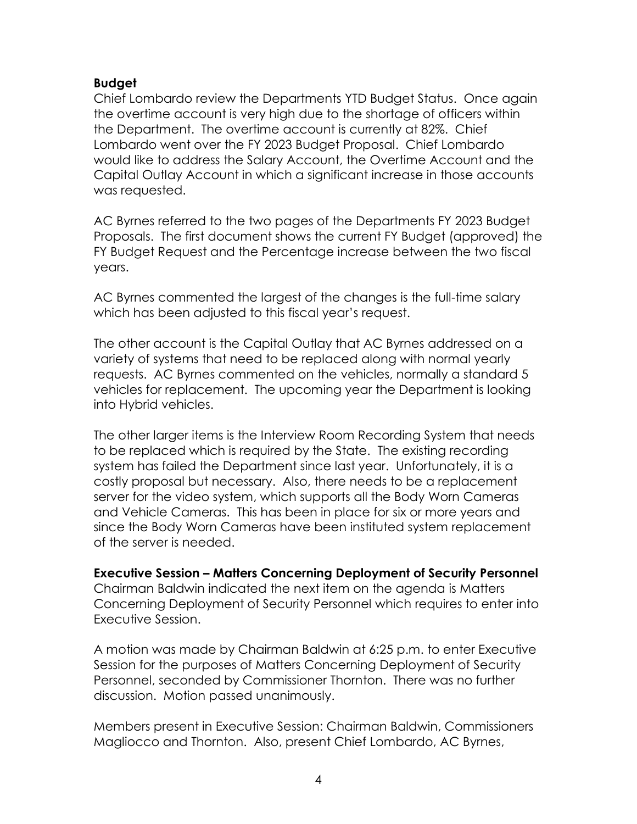## **Budget**

Chief Lombardo review the Departments YTD Budget Status. Once again the overtime account is very high due to the shortage of officers within the Department. The overtime account is currently at 82%. Chief Lombardo went over the FY 2023 Budget Proposal. Chief Lombardo would like to address the Salary Account, the Overtime Account and the Capital Outlay Account in which a significant increase in those accounts was requested.

AC Byrnes referred to the two pages of the Departments FY 2023 Budget Proposals. The first document shows the current FY Budget (approved) the FY Budget Request and the Percentage increase between the two fiscal years.

AC Byrnes commented the largest of the changes is the full-time salary which has been adjusted to this fiscal year's request.

The other account is the Capital Outlay that AC Byrnes addressed on a variety of systems that need to be replaced along with normal yearly requests. AC Byrnes commented on the vehicles, normally a standard 5 vehicles for replacement. The upcoming year the Department is looking into Hybrid vehicles.

The other larger items is the Interview Room Recording System that needs to be replaced which is required by the State. The existing recording system has failed the Department since last year. Unfortunately, it is a costly proposal but necessary. Also, there needs to be a replacement server for the video system, which supports all the Body Worn Cameras and Vehicle Cameras. This has been in place for six or more years and since the Body Worn Cameras have been instituted system replacement of the server is needed.

**Executive Session – Matters Concerning Deployment of Security Personnel** Chairman Baldwin indicated the next item on the agenda is Matters Concerning Deployment of Security Personnel which requires to enter into Executive Session.

A motion was made by Chairman Baldwin at 6:25 p.m. to enter Executive Session for the purposes of Matters Concerning Deployment of Security Personnel, seconded by Commissioner Thornton. There was no further discussion. Motion passed unanimously.

Members present in Executive Session: Chairman Baldwin, Commissioners Magliocco and Thornton. Also, present Chief Lombardo, AC Byrnes,